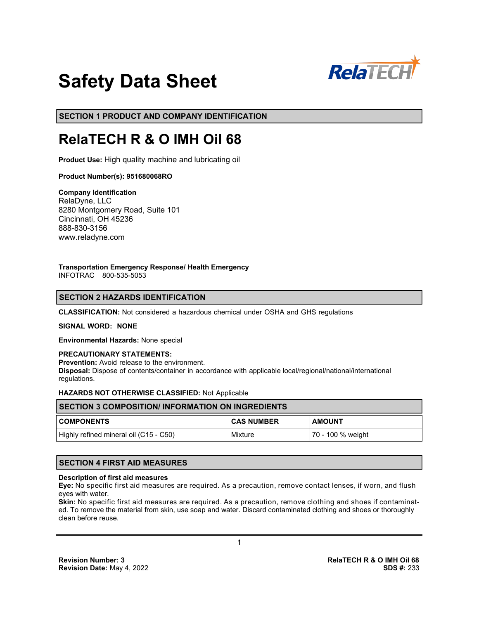

# **Safety Data Sheet**

**SECTION 1 PRODUCT AND COMPANY IDENTIFICATION**

# **RelaTECH R & O IMH Oil 68**

**Product Use:** High quality machine and lubricating oil

# **Product Number(s): 951680068RO**

**Company Identification** RelaDyne, LLC 8280 Montgomery Road, Suite 101 Cincinnati, OH 45236 888-830-3156 www.reladyne.com

**Transportation Emergency Response/ Health Emergency** INFOTRAC 800-535-5053

# **SECTION 2 HAZARDS IDENTIFICATION**

**CLASSIFICATION:** Not considered a hazardous chemical under OSHA and GHS regulations

#### **SIGNAL WORD: NONE**

**Environmental Hazards:** None special

#### **PRECAUTIONARY STATEMENTS:**

**Prevention:** Avoid release to the environment.

**Disposal:** Dispose of contents/container in accordance with applicable local/regional/national/international regulations.

#### **HAZARDS NOT OTHERWISE CLASSIFIED:** Not Applicable

| <b>SECTION 3 COMPOSITION/ INFORMATION ON INGREDIENTS</b> |              |                   |  |
|----------------------------------------------------------|--------------|-------------------|--|
| <b>COMPONENTS</b>                                        | I CAS NUMBER | <b>AMOUNT</b>     |  |
| Highly refined mineral oil (C15 - C50)                   | Mixture      | 70 - 100 % weight |  |

# **SECTION 4 FIRST AID MEASURES**

#### **Description of first aid measures**

**Eye:** No specific first aid measures are required. As a precaution, remove contact lenses, if worn, and flush eyes with water.

**Skin:** No specific first aid measures are required. As a precaution, remove clothing and shoes if contaminated. To remove the material from skin, use soap and water. Discard contaminated clothing and shoes or thoroughly clean before reuse.

1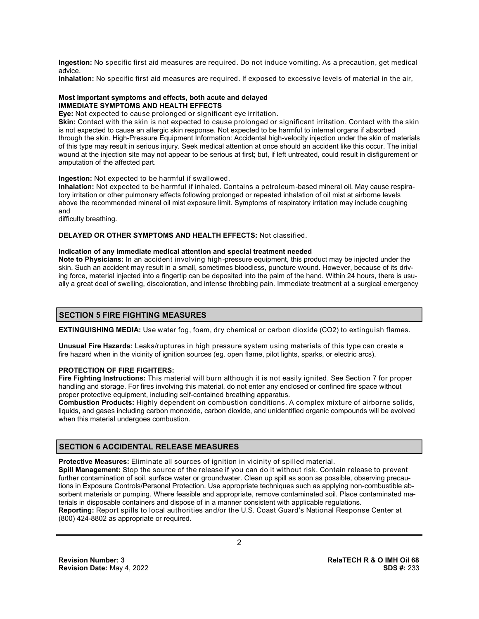**Ingestion:** No specific first aid measures are required. Do not induce vomiting. As a precaution, get medical advice.

**Inhalation:** No specific first aid measures are required. If exposed to excessive levels of material in the air,

#### **Most important symptoms and effects, both acute and delayed IMMEDIATE SYMPTOMS AND HEALTH EFFECTS**

**Eye:** Not expected to cause prolonged or significant eye irritation.

**Skin:** Contact with the skin is not expected to cause prolonged or significant irritation. Contact with the skin is not expected to cause an allergic skin response. Not expected to be harmful to internal organs if absorbed through the skin. High-Pressure Equipment Information: Accidental high-velocity injection under the skin of materials of this type may result in serious injury. Seek medical attention at once should an accident like this occur. The initial wound at the injection site may not appear to be serious at first; but, if left untreated, could result in disfigurement or amputation of the affected part.

#### **Ingestion:** Not expected to be harmful if swallowed.

**Inhalation:** Not expected to be harmful if inhaled. Contains a petroleum-based mineral oil. May cause respiratory irritation or other pulmonary effects following prolonged or repeated inhalation of oil mist at airborne levels above the recommended mineral oil mist exposure limit. Symptoms of respiratory irritation may include coughing and

difficulty breathing.

#### **DELAYED OR OTHER SYMPTOMS AND HEALTH EFFECTS:** Not classified.

#### **Indication of any immediate medical attention and special treatment needed**

**Note to Physicians:** In an accident involving high-pressure equipment, this product may be injected under the skin. Such an accident may result in a small, sometimes bloodless, puncture wound. However, because of its driving force, material injected into a fingertip can be deposited into the palm of the hand. Within 24 hours, there is usually a great deal of swelling, discoloration, and intense throbbing pain. Immediate treatment at a surgical emergency

#### **SECTION 5 FIRE FIGHTING MEASURES**

**EXTINGUISHING MEDIA:** Use water fog, foam, dry chemical or carbon dioxide (CO2) to extinguish flames.

**Unusual Fire Hazards:** Leaks/ruptures in high pressure system using materials of this type can create a fire hazard when in the vicinity of ignition sources (eg. open flame, pilot lights, sparks, or electric arcs).

# **PROTECTION OF FIRE FIGHTERS:**

**Fire Fighting Instructions:** This material will burn although it is not easily ignited. See Section 7 for proper handling and storage. For fires involving this material, do not enter any enclosed or confined fire space without proper protective equipment, including self-contained breathing apparatus.

**Combustion Products:** Highly dependent on combustion conditions. A complex mixture of airborne solids, liquids, and gases including carbon monoxide, carbon dioxide, and unidentified organic compounds will be evolved when this material undergoes combustion.

# **SECTION 6 ACCIDENTAL RELEASE MEASURES**

**Protective Measures:** Eliminate all sources of ignition in vicinity of spilled material.

**Spill Management:** Stop the source of the release if you can do it without risk. Contain release to prevent further contamination of soil, surface water or groundwater. Clean up spill as soon as possible, observing precautions in Exposure Controls/Personal Protection. Use appropriate techniques such as applying non-combustible absorbent materials or pumping. Where feasible and appropriate, remove contaminated soil. Place contaminated materials in disposable containers and dispose of in a manner consistent with applicable regulations. **Reporting:** Report spills to local authorities and/or the U.S. Coast Guard's National Response Center at (800) 424-8802 as appropriate or required.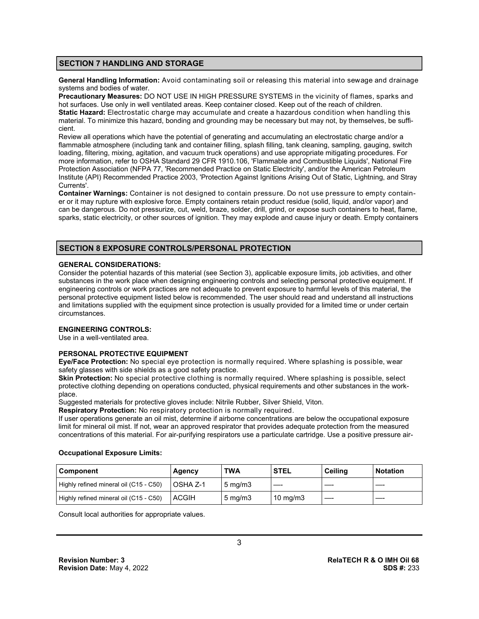# **SECTION 7 HANDLING AND STORAGE**

**General Handling Information:** Avoid contaminating soil or releasing this material into sewage and drainage systems and bodies of water.

**Precautionary Measures:** DO NOT USE IN HIGH PRESSURE SYSTEMS in the vicinity of flames, sparks and hot surfaces. Use only in well ventilated areas. Keep container closed. Keep out of the reach of children. **Static Hazard:** Electrostatic charge may accumulate and create a hazardous condition when handling this material. To minimize this hazard, bonding and grounding may be necessary but may not, by themselves, be sufficient.

Review all operations which have the potential of generating and accumulating an electrostatic charge and/or a flammable atmosphere (including tank and container filling, splash filling, tank cleaning, sampling, gauging, switch loading, filtering, mixing, agitation, and vacuum truck operations) and use appropriate mitigating procedures. For more information, refer to OSHA Standard 29 CFR 1910.106, 'Flammable and Combustible Liquids', National Fire Protection Association (NFPA 77, 'Recommended Practice on Static Electricity', and/or the American Petroleum Institute (API) Recommended Practice 2003, 'Protection Against Ignitions Arising Out of Static, Lightning, and Stray Currents'.

**Container Warnings:** Container is not designed to contain pressure. Do not use pressure to empty container or it may rupture with explosive force. Empty containers retain product residue (solid, liquid, and/or vapor) and can be dangerous. Do not pressurize, cut, weld, braze, solder, drill, grind, or expose such containers to heat, flame, sparks, static electricity, or other sources of ignition. They may explode and cause injury or death. Empty containers

# **SECTION 8 EXPOSURE CONTROLS/PERSONAL PROTECTION**

#### **GENERAL CONSIDERATIONS:**

Consider the potential hazards of this material (see Section 3), applicable exposure limits, job activities, and other substances in the work place when designing engineering controls and selecting personal protective equipment. If engineering controls or work practices are not adequate to prevent exposure to harmful levels of this material, the personal protective equipment listed below is recommended. The user should read and understand all instructions and limitations supplied with the equipment since protection is usually provided for a limited time or under certain circumstances.

# **ENGINEERING CONTROLS:**

Use in a well-ventilated area.

# **PERSONAL PROTECTIVE EQUIPMENT**

**Eye/Face Protection:** No special eye protection is normally required. Where splashing is possible, wear safety glasses with side shields as a good safety practice.

**Skin Protection:** No special protective clothing is normally required. Where splashing is possible, select protective clothing depending on operations conducted, physical requirements and other substances in the workplace.

Suggested materials for protective gloves include: Nitrile Rubber, Silver Shield, Viton.

**Respiratory Protection:** No respiratory protection is normally required.

If user operations generate an oil mist, determine if airborne concentrations are below the occupational exposure limit for mineral oil mist. If not, wear an approved respirator that provides adequate protection from the measured concentrations of this material. For air-purifying respirators use a particulate cartridge. Use a positive pressure air-

#### **Occupational Exposure Limits:**

| <b>Component</b>                       | Agency       | TWA                | <b>STEL</b>       | <b>Ceiling</b> | <b>Notation</b> |
|----------------------------------------|--------------|--------------------|-------------------|----------------|-----------------|
| Highly refined mineral oil (C15 - C50) | l OSHA Z-1   | $5 \text{ ma/m}$ 3 |                   |                |                 |
| Highly refined mineral oil (C15 - C50) | <b>ACGIH</b> | $5 \text{ mg/m}$   | $10 \text{ mg/m}$ |                |                 |

Consult local authorities for appropriate values.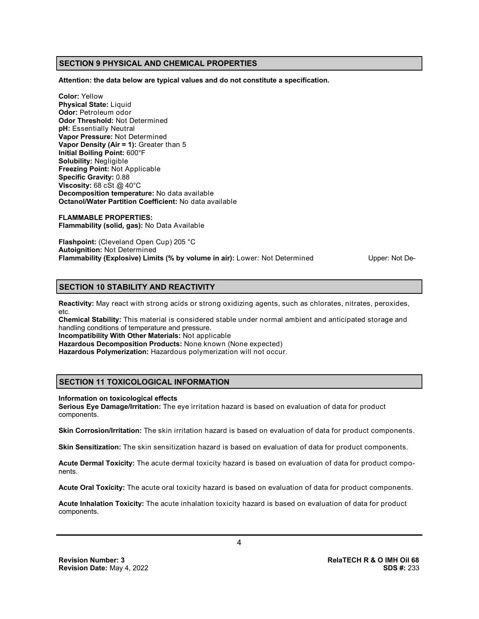# **SECTION 9 PHYSICAL AND CHEMICAL PROPERTIES**

**Attention: the data below are typical values and do not constitute a specification.**

**Color:** Yellow **Physical State:** Liquid **Odor:** Petroleum odor **Odor Threshold:** Not Determined **pH:** Essentially Neutral **Vapor Pressure:** Not Determined **Vapor Density (Air = 1):** Greater than 5 **Initial Boiling Point:** 600°F **Solubility:** Negligible **Freezing Point:** Not Applicable **Specific Gravity:** 0.88 **Viscosity:** 68 cSt @ 40°C **Decomposition temperature:** No data available **Octanol/Water Partition Coefficient:** No data available

**FLAMMABLE PROPERTIES: Flammability (solid, gas):** No Data Available

**Flashpoint:** (Cleveland Open Cup) 205 °C **Autoignition:** Not Determined **Flammability (Explosive) Limits (% by volume in air):** Lower: Not Determined Upper: Not De-

# **SECTION 10 STABILITY AND REACTIVITY**

**Reactivity:** May react with strong acids or strong oxidizing agents, such as chlorates, nitrates, peroxides, etc.

**Chemical Stability:** This material is considered stable under normal ambient and anticipated storage and handling conditions of temperature and pressure.

**Incompatibility With Other Materials:** Not applicable

**Hazardous Decomposition Products:** None known (None expected)

**Hazardous Polymerization:** Hazardous polymerization will not occur.

# **SECTION 11 TOXICOLOGICAL INFORMATION**

#### **Information on toxicological effects**

**Serious Eye Damage/Irritation:** The eye irritation hazard is based on evaluation of data for product components.

**Skin Corrosion/Irritation:** The skin irritation hazard is based on evaluation of data for product components.

**Skin Sensitization:** The skin sensitization hazard is based on evaluation of data for product components.

**Acute Dermal Toxicity:** The acute dermal toxicity hazard is based on evaluation of data for product components.

**Acute Oral Toxicity:** The acute oral toxicity hazard is based on evaluation of data for product components.

**Acute Inhalation Toxicity:** The acute inhalation toxicity hazard is based on evaluation of data for product components.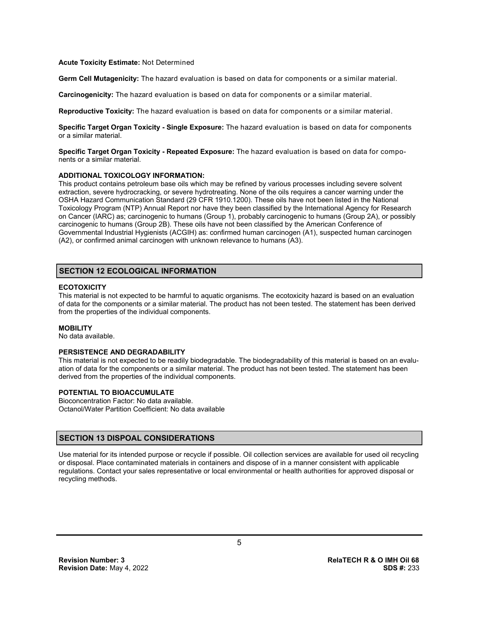#### **Acute Toxicity Estimate:** Not Determined

**Germ Cell Mutagenicity:** The hazard evaluation is based on data for components or a similar material.

**Carcinogenicity:** The hazard evaluation is based on data for components or a similar material.

**Reproductive Toxicity:** The hazard evaluation is based on data for components or a similar material.

**Specific Target Organ Toxicity - Single Exposure:** The hazard evaluation is based on data for components or a similar material.

**Specific Target Organ Toxicity - Repeated Exposure:** The hazard evaluation is based on data for components or a similar material.

#### **ADDITIONAL TOXICOLOGY INFORMATION:**

This product contains petroleum base oils which may be refined by various processes including severe solvent extraction, severe hydrocracking, or severe hydrotreating. None of the oils requires a cancer warning under the OSHA Hazard Communication Standard (29 CFR 1910.1200). These oils have not been listed in the National Toxicology Program (NTP) Annual Report nor have they been classified by the International Agency for Research on Cancer (IARC) as; carcinogenic to humans (Group 1), probably carcinogenic to humans (Group 2A), or possibly carcinogenic to humans (Group 2B). These oils have not been classified by the American Conference of Governmental Industrial Hygienists (ACGIH) as: confirmed human carcinogen (A1), suspected human carcinogen (A2), or confirmed animal carcinogen with unknown relevance to humans (A3).

# **SECTION 12 ECOLOGICAL INFORMATION**

# **ECOTOXICITY**

This material is not expected to be harmful to aquatic organisms. The ecotoxicity hazard is based on an evaluation of data for the components or a similar material. The product has not been tested. The statement has been derived from the properties of the individual components.

#### **MOBILITY**

No data available.

# **PERSISTENCE AND DEGRADABILITY**

This material is not expected to be readily biodegradable. The biodegradability of this material is based on an evaluation of data for the components or a similar material. The product has not been tested. The statement has been derived from the properties of the individual components.

# **POTENTIAL TO BIOACCUMULATE**

Bioconcentration Factor: No data available. Octanol/Water Partition Coefficient: No data available

# **SECTION 13 DISPOAL CONSIDERATIONS**

Use material for its intended purpose or recycle if possible. Oil collection services are available for used oil recycling or disposal. Place contaminated materials in containers and dispose of in a manner consistent with applicable regulations. Contact your sales representative or local environmental or health authorities for approved disposal or recycling methods.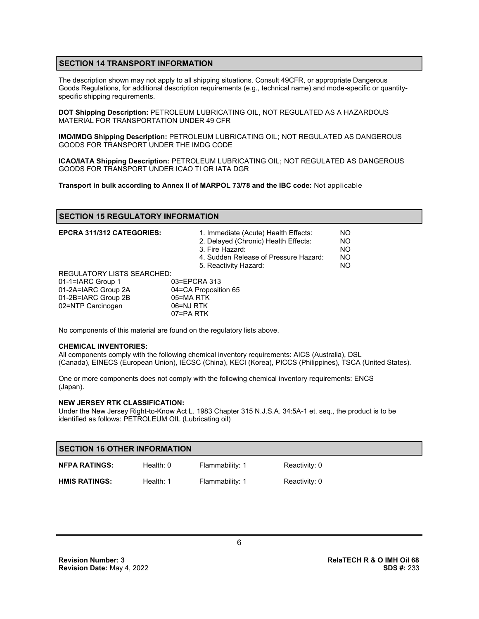# **SECTION 14 TRANSPORT INFORMATION**

The description shown may not apply to all shipping situations. Consult 49CFR, or appropriate Dangerous Goods Regulations, for additional description requirements (e.g., technical name) and mode-specific or quantityspecific shipping requirements.

**DOT Shipping Description:** PETROLEUM LUBRICATING OIL, NOT REGULATED AS A HAZARDOUS MATERIAL FOR TRANSPORTATION UNDER 49 CFR

**IMO/IMDG Shipping Description:** PETROLEUM LUBRICATING OIL; NOT REGULATED AS DANGEROUS GOODS FOR TRANSPORT UNDER THE IMDG CODE

**ICAO/IATA Shipping Description:** PETROLEUM LUBRICATING OIL; NOT REGULATED AS DANGEROUS GOODS FOR TRANSPORT UNDER ICAO TI OR IATA DGR

**Transport in bulk according to Annex II of MARPOL 73/78 and the IBC code:** Not applicable

# **SECTION 15 REGULATORY INFORMATION**

| <b>EPCRA 311/312 CATEGORIES:</b>  | 1. Immediate (Acute) Health Effects:<br>2. Delayed (Chronic) Health Effects:<br>3. Fire Hazard:<br>4. Sudden Release of Pressure Hazard:<br>5. Reactivity Hazard: | NO.<br><b>NO</b><br><b>NO</b><br><b>NO</b><br>NO. |
|-----------------------------------|-------------------------------------------------------------------------------------------------------------------------------------------------------------------|---------------------------------------------------|
| <b>REGULATORY LISTS SEARCHED:</b> |                                                                                                                                                                   |                                                   |
| 01-1=IARC Group 1                 | 03=EPCRA 313                                                                                                                                                      |                                                   |
| 01-2A=IARC Group 2A               | 04=CA Proposition 65                                                                                                                                              |                                                   |
| 01-2B=IARC Group 2B               | 05=MA RTK                                                                                                                                                         |                                                   |
| 02=NTP Carcinogen                 | 06=NJ RTK                                                                                                                                                         |                                                   |
|                                   | 07=PA RTK                                                                                                                                                         |                                                   |

No components of this material are found on the regulatory lists above.

#### **CHEMICAL INVENTORIES:**

All components comply with the following chemical inventory requirements: AICS (Australia), DSL (Canada), EINECS (European Union), IECSC (China), KECI (Korea), PICCS (Philippines), TSCA (United States).

One or more components does not comply with the following chemical inventory requirements: ENCS (Japan).

#### **NEW JERSEY RTK CLASSIFICATION:**

Under the New Jersey Right-to-Know Act L. 1983 Chapter 315 N.J.S.A. 34:5A-1 et. seq., the product is to be identified as follows: PETROLEUM OIL (Lubricating oil)

| <b>SECTION 16 OTHER INFORMATION</b> |             |                 |               |  |
|-------------------------------------|-------------|-----------------|---------------|--|
| <b>NFPA RATINGS:</b>                | Health: $0$ | Flammability: 1 | Reactivity: 0 |  |
| <b>HMIS RATINGS:</b>                | Health: 1   | Flammability: 1 | Reactivity: 0 |  |